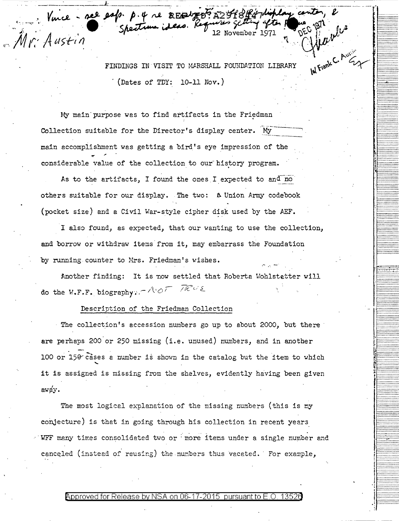FINDINGS IN VISIT TO MARSHALL FOUNDATION LIBRARY  $($ Dates of TDY: 10-11 Nov.)

Internet C. August

My main purpose was to find artifacts in the Friedman Collection suitable for the Director's display center. My main accomplishment was getting a bird's eye impression of the considerable value of the collection to our history program.

Vince-nee est. p. 4 re REENTEDE AZOPPORTI-lightay com

As to the artifacts, I found the ones I expected to and no others suitable for our display. The two: A Union Army codebook (pocket size) and a Civil War-style cipher disk used by the AEF.

I also found, as expected, that our wanting to use the collection, and borrow or withdraw items from it, may embarrass the Foundation by running counter to Mrs. Friedman's wishes.

Another finding: It is now settled that Roberta Wohlstetter will do the W.F.F. biography.  $\wedge \circ \wedge \circ \wedge$ 

## Description of the Friedman Collection

The collection's accession numbers go up to about 2000, but there are perhaps 200 or 250 missing (i.e. unused) numbers, and in another 100 or 150 cases a number is shown in the catalog but the item to which it is assigned is missing from the shelves, evidently having been given away.

The most logical explanation of the missing numbers (this is my conjecture) is that in going through his collection in recent years WFF many times consolidated two or more items under a single number and canceled (instead of reusing) the numbers thus vacated. For example,

## Approved for Release by NSA on 06-17-2015 pursuant to E.O.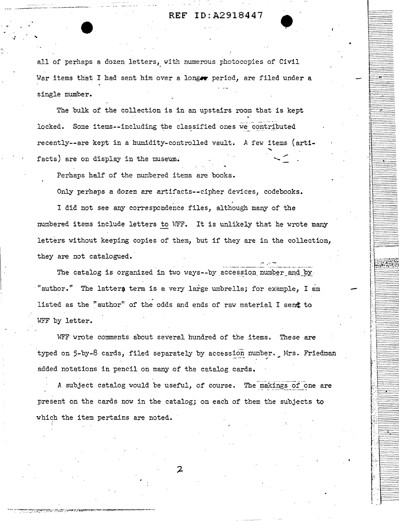# **REF** ID:A2918447 REF ID:A2918447

all of perhaps a dozen letters, with numerous photocopies of Civil War items that I had sent him over a longer period, are filed under a single number.

The bulk of the collection is in an upstairs room that is kept locked. Some items--including the classified ones *we* contributed recently--are kept in a humidity-controlled vault\_. A few items (artifacts) are on display in the museum.

Perhaps half of the numbered items are books.

-·---··-----·. ---------·.

*·:* 

Only perhaps a dozen are artifacts--cipher devices, codebooks.

I did not *see* any correspondence files, although many of the numbered items include letters to WFF. It is unlikely that he wrote many letters without keeping copies of them, but if they are in the collection, they are not catalogued.

The catalog is organized in two ways--by accession number and by. "author." The lattern term is a very large umbrella; for example, I am listed as the "author" of the odds and ends of raw material I sent to WFF by letter.

WFF wrote comments about several hundred of the items. These are typed on 5-by-8 cards, filed separately by accession number. Mrs. Friedman added notations in pencil on many of the catalog cards.

A subject catalog would be useful, of course. The makings of one are present on the cards now in the catalog; on each of them the subjects to which the item pertains are noted.

2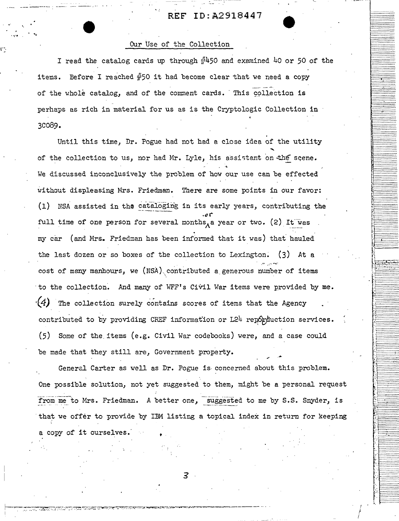# **REF** ID:A2918447

### Our Use of the Collection

....... .<br>.<br>. ..

I read the catalog cards up through  $\frac{d}{dt}450$  and examined 40 or 50 of the items. Eefore I reached  $\#50$  it had become clear that we need a copy of the whole catalog, and of the comment cards. This collection is perhaps as rich in material for us as is the Cryptologic Collection in 3c089.

Until this time, Dr. Pogue had not had a close idea of the utility of the collection to us, nor had Mr. Lyle, his assistant on the scene. . ·• We discussed inconclusively the problem of how our use can be effected without displeasing Mrs. Friedman. There are some points in our favor: (1) NSA assisted in the cataloging in its early years, contributing the . *"('*  full time of one person for several months, a year or two. (2) It was my car (and Mrs. Friedman has been informed that it was) that hauled the last dozen or so boxes of the collection to Lexington. (3) At a cost of many manhours, we (NSA) contributed a generous number of items to the collection. And many of WFF's Civil War items were provided by me. *·(4)* The collection surely contains scores of items that the Agency contributed to by providing CREF information or  $L24$  reporduction services.  $(5)$  Some of the items (e.g. Civil War codebooks) were, and a case could be made that they still are, Government property.

General Carter as well as Dr. Pogue is. concerned about this problem. One possible solution, not yet suggested to them, might be a personal request from me to Mrs. Friedman. A better one, suggested to me by S.S. Snyder, is that we offer to provide by IBM listing a topical index in return for keeping a copy of it ourselves.

3

I *i*  i

:-:· :\_:\_:\_:\_:\_:\_:\_:\_:\_:\_:\_-:-:: ,, :::::::::::::: ·: *::::::::::::::* 

*::::::::;::::::::.*  ::::::::::::::::: :::::::::::::::::: *:::::::::::::::::: :::::: ::: :::::.:-::* :::::::.:::::::::::: ::::::::::::::·.:-.

::::::·.:·.::::::·:.· :::::·.:·:.:·::::.·::

~:-:.:~~:l~~~~;;;.:~ ~ *:::::::::.::::::::.*  ~:~~~:-~;-~:~~:;;;~~~; ···-·-···-·-····· ··--····--·······

*:::::::;::::::::: . . :::::::::::::::::* 

*::::::::::::::::: :::::.::* ::: *·:::.:·.: :::::::::::::::;;*  ········-········· ·················· *:::::::::::::::::. :::::::::::::::::*  .::::::::::::::::: ··············-·· ················· *.-:·.-::::-:::\_::.-:·.-::.:.:*  ················· *::: ::::::::::::::.*  ::::::::::::::::: . *=:::::.-:::.-::.-::·.-:·.-:* 

-:::::::::::::::::. ,j, *:::: :: ::::: ::::::* j::::::::::::::::::

~!f{~filif {1 "'(, ................. . **t:.:::::::::::::::::** 

!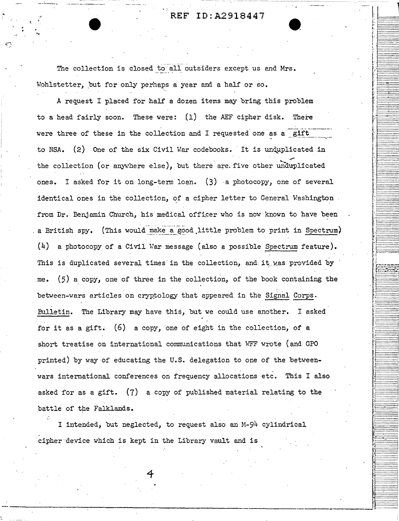**REF** ID:A2918447

 $\frac{1}{\sqrt{1-\frac{1}{n}}}$ 

. <u>f</u>

i <del>1. . . . . . . . . . . . . .</del> 1 .. ·.:::::::::::·;;; . . ···-········--·· .. ·········-····· I **::::.·::::.·:..·:.7.:** j ::::::::::::::: ... :::::::::::::::·

· **I** - <del>| . | . . . . . . . . . . . . . . .</del>

~~~~~~~~~;~;;~~~

t~i[I ···········-··· **r.** ==·=·=·::.::\_=\_=\_=\_=::\_:\_: .................

<sup>~</sup>·········-······· ............... , : ·············-·· . ··········-···· ···········--··· ··-········--··· : ::::::::::::::;: .. ::::::::::::::::.

ft~J~I ···········-··- *:::::.·:::::::.-:::*  ::::::·:::::::.:::: **............**. -:~~~-::~:-~~~~~~~~ :::::::;::::::-:·:j' *ir:::::::::::::::*  . · l·:-:-::-:-:-:-:::;::.-::: .............•... ·····-···-··-··· . .. .. ........... <sup>~</sup> .................. ···········-···-

···········--·-· ................

................ : [~~~~~~~\$.~~~~~~ . , ......... · ...... . . ;-····--·~·-· .. ··

**INCORPORATION** 

~-

The collection is closed to all outsiders except us and Mrs. Wohlstetter, but for only perhaps a year and a half or so.

..

A request I placed for half a dozen items may bring this problem to a head fairly soon. These were:  $(1)$  the AEF cipher disk. There were three of these in the collection and I requested one as a gift to NSA. (2) One of the six Civil War codebooks. It is unquplicated in ,, the collection (or anywhere else), but there are. five other unduplicated ones. I asked for it on long-term loan. (3) -a photocopy, one of several identical ones in the collection, of a cipher letter to General Washington from Dr. Benjamin Church, his medical officer who is now known to have been . a British spy. (This would make a good little problem to print in Spectrum) (4) a photocopy of a Civil War message (also a possible Spectrum feature). This is duplicated several times in the collection, and it was provided by me.  $(5)$  a copy, one of three in the collection, of the book containing the between-wars articles on cryptology that appeared in the Signal Corps. Bulletin. The Library may have this, but we could use another. I asked for it as a gift.  $(6)$  a copy, one of eight in the collection, of a short treatise on international communications that WFF wrote (and GPO printed) by way of educating the U.S. delegation to one of the betweenwars international conferences on frequency allocations etc. This I also asked for as a gift. (7) a copy of published material relating to the battle of the Falklands.

I intended; but neglected, to request also an M-94 cylindrical cipher device which is kept in the Library vault and is

**4**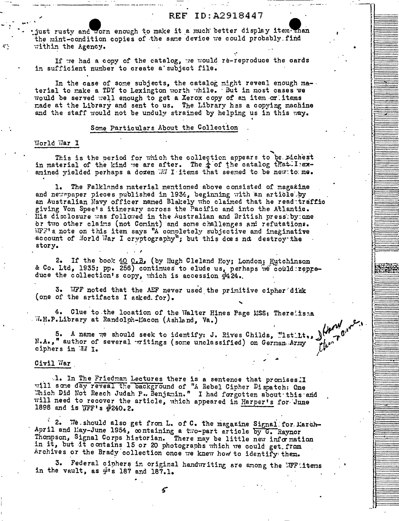just rusty and worn enough to make it a much better display item than the mint-condition copies of the same device we could probably. find within the Agency.

If we had a copy of the catalog, we would re-reproduce the cards in sufficient number to create a subject file.

In the case of some subjects, the catalog might reveal enough material to make a TDY to Lexington worth while. But in most cases we would be served well enough to get a Xerox copy of an item or items made at the Library and sent to us. The Library has a copying machine and the staff would not be unduly strained by helping us in this way.

#### Some Particulars About the Collection

## World War I

This is the period for which the collection appears to be richest in material of the kind we are after. The  $\frac{1}{4}$  of the catalog that I examined vielded perhaps a dozen WI I items that seemed to be new to me.

1. The Falklands material mentioned above consisted of magazine and newspaper pieces published in 1934, beginning with an article by an Australian Navy officer named Blakely who claimed that he read traffic giving Von Spee's itinerary across the Pacific and into the Atlantic. His disclosure was followed in the Australian and British pressiby one or two other claims (not Comint) and some challenges and refutations. WFF's note on this item says "A completely subjective and imaginative account of Norld War I cryptography"; but this does not destroy the story.

2. If the book 40 O.B. (by Hugh Cleland Hoy; London: Hutchinson & Co. Ltd, 1935; pp. 256) continues to elude us, perhaps we could repreduce the collection's copy, which is accession #124.

3. WFF noted that the AEF never used the primitive cipher disk (one of the artifacts I asked. for).

4. Clue to the location of the Walter Hines Page MSS: Therelissa W.H.P.Library at Randolph-Macon (Ashland, Va.)

5. A name we should seek to identify: J. Rives Childs, "Istlit... )  $\begin{pmatrix} 1 & 0 & 0 \\ 0 & 0 & 0 \\ 0 & 0 & 0 \end{pmatrix}$ "<br>"author of several ritings (some unclassified) on German Army  $\begin{pmatrix} 1 & 0 \\ 0 & 0 \end{pmatrix}$ " N.A.," author of several writings (some unclassified) on German Army ciphers in WI I.

Civil War

1. In The Friedman Lectures there is a sentence that promises II will some day reveal the background of "A Rebel Cipher Dispatch: One Which Did Not Reach Judah P. Benjamin." I had forgotten about this and will need to recover the article, which appeared in Harper's for June 1898 and is WFF's #240.2.

2. We should also get from L. of C. the magazine Signal for March-April and May-June 1954, containing a two-part article by G. Raynor Thompson, Signal Corps historian. There may be little new information in it, but it contains 15 or 20 photographs which we could get from Archives or the Brady collection once we knew how to identify them.

Federal ciphers in original handwriting are among the WFF items з. in the vault, as  $\#$ 's 187 and 187.1.